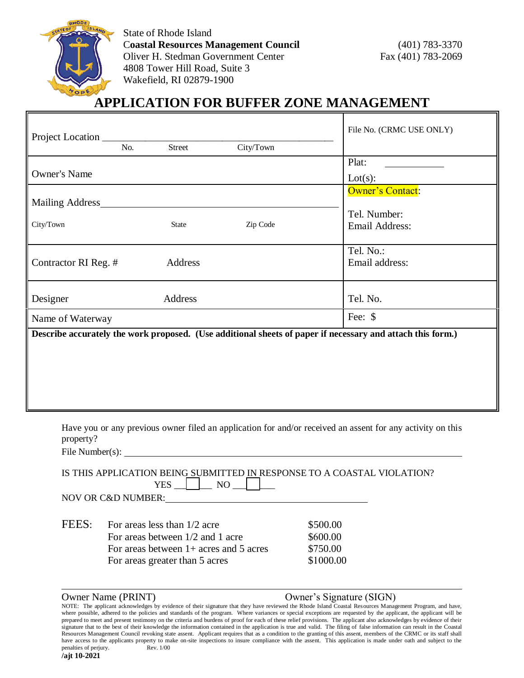

State of Rhode Island C**oastal Resources Management Council** (401) 783-3370 Oliver H. Stedman Government Center Fax (401) 783-2069 4808 Tower Hill Road, Suite 3 Wakefield, RI 02879-1900

# **APPLICATION FOR BUFFER ZONE MANAGEMENT**

| Project Location     |     |              |           | File No. (CRMC USE ONLY)                                                                                   |  |  |
|----------------------|-----|--------------|-----------|------------------------------------------------------------------------------------------------------------|--|--|
|                      | No. | Street       | City/Town |                                                                                                            |  |  |
|                      |     |              |           | Plat:                                                                                                      |  |  |
| <b>Owner's Name</b>  |     |              | Lot(s):   |                                                                                                            |  |  |
| Mailing Address      |     |              |           | <b>Owner's Contact:</b>                                                                                    |  |  |
|                      |     |              |           | Tel. Number:                                                                                               |  |  |
| City/Town            |     | <b>State</b> | Zip Code  | <b>Email Address:</b>                                                                                      |  |  |
|                      |     |              |           | Tel. No.:                                                                                                  |  |  |
| Contractor RI Reg. # |     | Address      |           | Email address:                                                                                             |  |  |
| Designer             |     | Address      |           | Tel. No.                                                                                                   |  |  |
| Name of Waterway     |     |              | Fee: \$   |                                                                                                            |  |  |
|                      |     |              |           | Describe accurately the work proposed. (Use additional sheets of paper if necessary and attach this form.) |  |  |
|                      |     |              |           |                                                                                                            |  |  |
|                      |     |              |           |                                                                                                            |  |  |
|                      |     |              |           |                                                                                                            |  |  |
|                      |     |              |           |                                                                                                            |  |  |
|                      |     |              |           |                                                                                                            |  |  |

Have you or any previous owner filed an application for and/or received an assent for any activity on this property?

File Number(s):

| IS THIS APPLICATION BEING SUBMITTED IN RESPONSE TO A COASTAL VIOLATION? |  |  |  |  |
|-------------------------------------------------------------------------|--|--|--|--|
|                                                                         |  |  |  |  |

NOV OR C&D NUMBER:

| FEES: | For areas less than $1/2$ acre           | \$500.00  |  |  |
|-------|------------------------------------------|-----------|--|--|
|       | For areas between $1/2$ and 1 acre       | \$600.00  |  |  |
|       | For areas between $1+$ acres and 5 acres | \$750.00  |  |  |
|       | For areas greater than 5 acres           | \$1000.00 |  |  |

#### Owner Name (PRINT) Owner's Signature (SIGN)

NOTE: The applicant acknowledges by evidence of their signature that they have reviewed the Rhode Island Coastal Resources Management Program, and have, where possible, adhered to the policies and standards of the program. Where variances or special exceptions are requested by the applicant, the applicant will be prepared to meet and present testimony on the criteria and burdens of proof for each of these relief provisions. The applicant also acknowledges by evidence of their signature that to the best of their knowledge the information contained in the application is true and valid. The filing of false information can result in the Coastal Resources Management Council revoking state assent. Applicant requires that as a condition to the granting of this assent, members of the CRMC or its staff shall have access to the applicants property to make on-site inspections to insure compliance with the assent. This application is made under oath and subject to the penalties of perjury. Rev. 1/00 **/ajt 10-2021**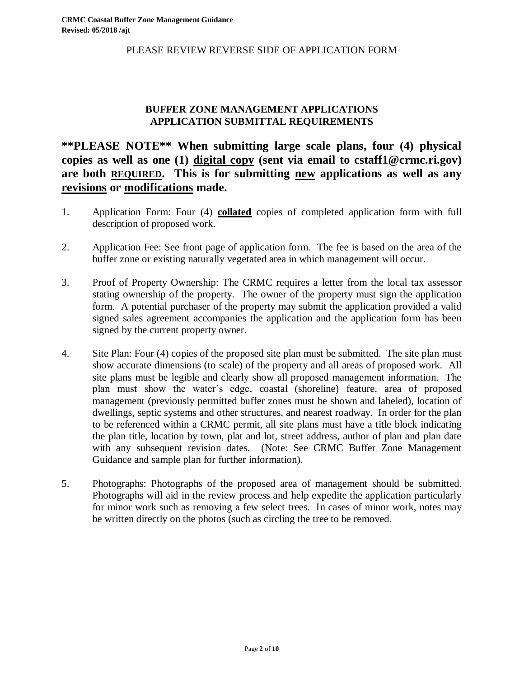PLEASE REVIEW REVERSE SIDE OF APPLICATION FORM

#### **BUFFER ZONE MANAGEMENT APPLICATIONS APPLICATION SUBMITTAL REQUIREMENTS**

## **\*\*PLEASE NOTE\*\* When submitting large scale plans, four (4) physical copies as well as one (1) digital copy (sent via email to cstaff1@crmc.ri.gov) are both REQUIRED. This is for submitting new applications as well as any revisions or modifications made.**

- 1. Application Form: Four (4) **collated** copies of completed application form with full description of proposed work.
- 2. Application Fee: See front page of application form. The fee is based on the area of the buffer zone or existing naturally vegetated area in which management will occur.
- 3. Proof of Property Ownership: The CRMC requires a letter from the local tax assessor stating ownership of the property. The owner of the property must sign the application form. A potential purchaser of the property may submit the application provided a valid signed sales agreement accompanies the application and the application form has been signed by the current property owner.
- 4. Site Plan: Four (4) copies of the proposed site plan must be submitted. The site plan must show accurate dimensions (to scale) of the property and all areas of proposed work. All site plans must be legible and clearly show all proposed management information. The plan must show the water's edge, coastal (shoreline) feature, area of proposed management (previously permitted buffer zones must be shown and labeled), location of dwellings, septic systems and other structures, and nearest roadway. In order for the plan to be referenced within a CRMC permit, all site plans must have a title block indicating the plan title, location by town, plat and lot, street address, author of plan and plan date with any subsequent revision dates. (Note: See CRMC Buffer Zone Management Guidance and sample plan for further information).
- 5. Photographs: Photographs of the proposed area of management should be submitted. Photographs will aid in the review process and help expedite the application particularly for minor work such as removing a few select trees. In cases of minor work, notes may be written directly on the photos (such as circling the tree to be removed.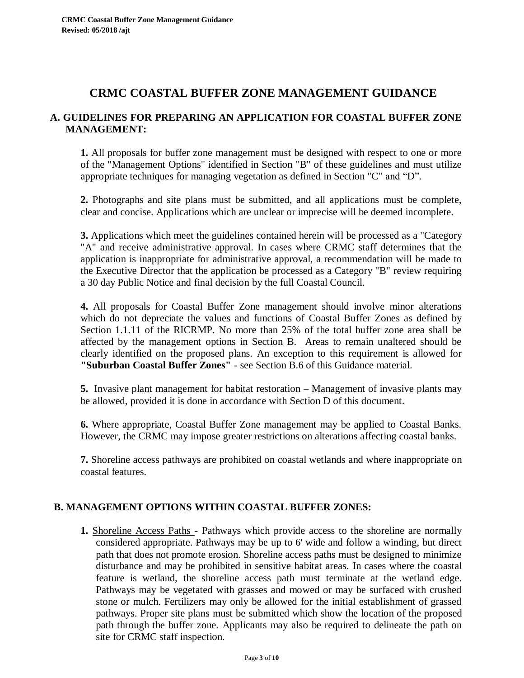# **CRMC COASTAL BUFFER ZONE MANAGEMENT GUIDANCE**

#### **A. GUIDELINES FOR PREPARING AN APPLICATION FOR COASTAL BUFFER ZONE MANAGEMENT:**

**1.** All proposals for buffer zone management must be designed with respect to one or more of the "Management Options" identified in Section "B" of these guidelines and must utilize appropriate techniques for managing vegetation as defined in Section "C" and "D".

**2.** Photographs and site plans must be submitted, and all applications must be complete, clear and concise. Applications which are unclear or imprecise will be deemed incomplete.

**3.** Applications which meet the guidelines contained herein will be processed as a "Category "A" and receive administrative approval. In cases where CRMC staff determines that the application is inappropriate for administrative approval, a recommendation will be made to the Executive Director that the application be processed as a Category "B" review requiring a 30 day Public Notice and final decision by the full Coastal Council.

**4.** All proposals for Coastal Buffer Zone management should involve minor alterations which do not depreciate the values and functions of Coastal Buffer Zones as defined by Section 1.1.11 of the RICRMP. No more than 25% of the total buffer zone area shall be affected by the management options in Section B. Areas to remain unaltered should be clearly identified on the proposed plans. An exception to this requirement is allowed for **"Suburban Coastal Buffer Zones"** - see Section B.6 of this Guidance material.

**5.** Invasive plant management for habitat restoration – Management of invasive plants may be allowed, provided it is done in accordance with Section D of this document.

**6.** Where appropriate, Coastal Buffer Zone management may be applied to Coastal Banks. However, the CRMC may impose greater restrictions on alterations affecting coastal banks.

**7.** Shoreline access pathways are prohibited on coastal wetlands and where inappropriate on coastal features.

### **B. MANAGEMENT OPTIONS WITHIN COASTAL BUFFER ZONES:**

**1.** Shoreline Access Paths - Pathways which provide access to the shoreline are normally considered appropriate. Pathways may be up to 6' wide and follow a winding, but direct path that does not promote erosion. Shoreline access paths must be designed to minimize disturbance and may be prohibited in sensitive habitat areas. In cases where the coastal feature is wetland, the shoreline access path must terminate at the wetland edge. Pathways may be vegetated with grasses and mowed or may be surfaced with crushed stone or mulch. Fertilizers may only be allowed for the initial establishment of grassed pathways. Proper site plans must be submitted which show the location of the proposed path through the buffer zone. Applicants may also be required to delineate the path on site for CRMC staff inspection.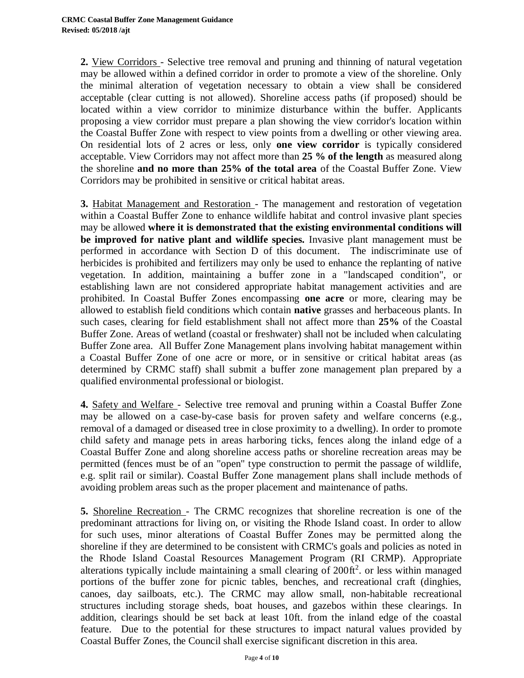**2.** View Corridors - Selective tree removal and pruning and thinning of natural vegetation may be allowed within a defined corridor in order to promote a view of the shoreline. Only the minimal alteration of vegetation necessary to obtain a view shall be considered acceptable (clear cutting is not allowed). Shoreline access paths (if proposed) should be located within a view corridor to minimize disturbance within the buffer. Applicants proposing a view corridor must prepare a plan showing the view corridor's location within the Coastal Buffer Zone with respect to view points from a dwelling or other viewing area. On residential lots of 2 acres or less, only **one view corridor** is typically considered acceptable. View Corridors may not affect more than **25 % of the length** as measured along the shoreline **and no more than 25% of the total area** of the Coastal Buffer Zone. View Corridors may be prohibited in sensitive or critical habitat areas.

**3.** Habitat Management and Restoration - The management and restoration of vegetation within a Coastal Buffer Zone to enhance wildlife habitat and control invasive plant species may be allowed **where it is demonstrated that the existing environmental conditions will be improved for native plant and wildlife species.** Invasive plant management must be performed in accordance with Section D of this document. The indiscriminate use of herbicides is prohibited and fertilizers may only be used to enhance the replanting of native vegetation. In addition, maintaining a buffer zone in a "landscaped condition", or establishing lawn are not considered appropriate habitat management activities and are prohibited. In Coastal Buffer Zones encompassing **one acre** or more, clearing may be allowed to establish field conditions which contain **native** grasses and herbaceous plants. In such cases, clearing for field establishment shall not affect more than **25%** of the Coastal Buffer Zone. Areas of wetland (coastal or freshwater) shall not be included when calculating Buffer Zone area. All Buffer Zone Management plans involving habitat management within a Coastal Buffer Zone of one acre or more, or in sensitive or critical habitat areas (as determined by CRMC staff) shall submit a buffer zone management plan prepared by a qualified environmental professional or biologist.

**4.** Safety and Welfare - Selective tree removal and pruning within a Coastal Buffer Zone may be allowed on a case-by-case basis for proven safety and welfare concerns (e.g., removal of a damaged or diseased tree in close proximity to a dwelling). In order to promote child safety and manage pets in areas harboring ticks, fences along the inland edge of a Coastal Buffer Zone and along shoreline access paths or shoreline recreation areas may be permitted (fences must be of an "open" type construction to permit the passage of wildlife, e.g. split rail or similar). Coastal Buffer Zone management plans shall include methods of avoiding problem areas such as the proper placement and maintenance of paths.

**5.** Shoreline Recreation - The CRMC recognizes that shoreline recreation is one of the predominant attractions for living on, or visiting the Rhode Island coast. In order to allow for such uses, minor alterations of Coastal Buffer Zones may be permitted along the shoreline if they are determined to be consistent with CRMC's goals and policies as noted in the Rhode Island Coastal Resources Management Program (RI CRMP). Appropriate alterations typically include maintaining a small clearing of  $200 \text{ ft}^2$ . or less within managed portions of the buffer zone for picnic tables, benches, and recreational craft (dinghies, canoes, day sailboats, etc.). The CRMC may allow small, non-habitable recreational structures including storage sheds, boat houses, and gazebos within these clearings. In addition, clearings should be set back at least 10ft. from the inland edge of the coastal feature. Due to the potential for these structures to impact natural values provided by Coastal Buffer Zones, the Council shall exercise significant discretion in this area.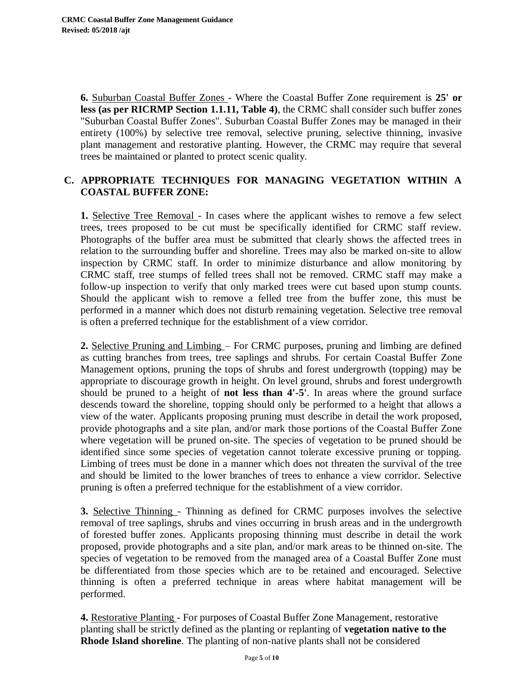**6.** Suburban Coastal Buffer Zones - Where the Coastal Buffer Zone requirement is **25' or less (as per RICRMP Section 1.1.11, Table 4)**, the CRMC shall consider such buffer zones "Suburban Coastal Buffer Zones". Suburban Coastal Buffer Zones may be managed in their entirety (100%) by selective tree removal, selective pruning, selective thinning, invasive plant management and restorative planting. However, the CRMC may require that several trees be maintained or planted to protect scenic quality.

### **C. APPROPRIATE TECHNIQUES FOR MANAGING VEGETATION WITHIN A COASTAL BUFFER ZONE:**

**1.** Selective Tree Removal - In cases where the applicant wishes to remove a few select trees, trees proposed to be cut must be specifically identified for CRMC staff review. Photographs of the buffer area must be submitted that clearly shows the affected trees in relation to the surrounding buffer and shoreline. Trees may also be marked on-site to allow inspection by CRMC staff. In order to minimize disturbance and allow monitoring by CRMC staff, tree stumps of felled trees shall not be removed. CRMC staff may make a follow-up inspection to verify that only marked trees were cut based upon stump counts. Should the applicant wish to remove a felled tree from the buffer zone, this must be performed in a manner which does not disturb remaining vegetation. Selective tree removal is often a preferred technique for the establishment of a view corridor.

**2.** Selective Pruning and Limbing – For CRMC purposes, pruning and limbing are defined as cutting branches from trees, tree saplings and shrubs. For certain Coastal Buffer Zone Management options, pruning the tops of shrubs and forest undergrowth (topping) may be appropriate to discourage growth in height. On level ground, shrubs and forest undergrowth should be pruned to a height of **not less than 4'-5'**. In areas where the ground surface descends toward the shoreline, topping should only be performed to a height that allows a view of the water. Applicants proposing pruning must describe in detail the work proposed, provide photographs and a site plan, and/or mark those portions of the Coastal Buffer Zone where vegetation will be pruned on-site. The species of vegetation to be pruned should be identified since some species of vegetation cannot tolerate excessive pruning or topping. Limbing of trees must be done in a manner which does not threaten the survival of the tree and should be limited to the lower branches of trees to enhance a view corridor. Selective pruning is often a preferred technique for the establishment of a view corridor.

**3.** Selective Thinning - Thinning as defined for CRMC purposes involves the selective removal of tree saplings, shrubs and vines occurring in brush areas and in the undergrowth of forested buffer zones. Applicants proposing thinning must describe in detail the work proposed, provide photographs and a site plan, and/or mark areas to be thinned on-site. The species of vegetation to be removed from the managed area of a Coastal Buffer Zone must be differentiated from those species which are to be retained and encouraged. Selective thinning is often a preferred technique in areas where habitat management will be performed.

**4.** Restorative Planting - For purposes of Coastal Buffer Zone Management, restorative planting shall be strictly defined as the planting or replanting of **vegetation native to the Rhode Island shoreline**. The planting of non-native plants shall not be considered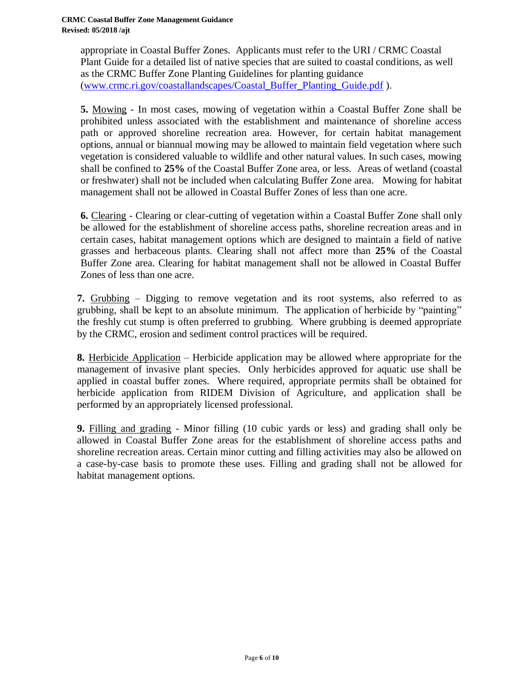appropriate in Coastal Buffer Zones. Applicants must refer to the URI / CRMC Coastal Plant Guide for a detailed list of native species that are suited to coastal conditions, as well as the CRMC Buffer Zone Planting Guidelines for planting guidance [\(www.crmc.ri.gov/coastallandscapes/Coastal\\_Buffer\\_Planting\\_Guide.pdf](http://www.crmc.ri.gov/coastallandscapes/Coastal_Buffer_Planting_Guide.pdf) ).

**5.** Mowing - In most cases, mowing of vegetation within a Coastal Buffer Zone shall be prohibited unless associated with the establishment and maintenance of shoreline access path or approved shoreline recreation area. However, for certain habitat management options, annual or biannual mowing may be allowed to maintain field vegetation where such vegetation is considered valuable to wildlife and other natural values. In such cases, mowing shall be confined to **25%** of the Coastal Buffer Zone area, or less. Areas of wetland (coastal or freshwater) shall not be included when calculating Buffer Zone area. Mowing for habitat management shall not be allowed in Coastal Buffer Zones of less than one acre.

**6.** Clearing - Clearing or clear-cutting of vegetation within a Coastal Buffer Zone shall only be allowed for the establishment of shoreline access paths, shoreline recreation areas and in certain cases, habitat management options which are designed to maintain a field of native grasses and herbaceous plants. Clearing shall not affect more than **25%** of the Coastal Buffer Zone area. Clearing for habitat management shall not be allowed in Coastal Buffer Zones of less than one acre.

**7.** Grubbing – Digging to remove vegetation and its root systems, also referred to as grubbing, shall be kept to an absolute minimum. The application of herbicide by "painting" the freshly cut stump is often preferred to grubbing. Where grubbing is deemed appropriate by the CRMC, erosion and sediment control practices will be required.

**8.** Herbicide Application – Herbicide application may be allowed where appropriate for the management of invasive plant species. Only herbicides approved for aquatic use shall be applied in coastal buffer zones. Where required, appropriate permits shall be obtained for herbicide application from RIDEM Division of Agriculture, and application shall be performed by an appropriately licensed professional.

**9.** Filling and grading - Minor filling (10 cubic yards or less) and grading shall only be allowed in Coastal Buffer Zone areas for the establishment of shoreline access paths and shoreline recreation areas. Certain minor cutting and filling activities may also be allowed on a case-by-case basis to promote these uses. Filling and grading shall not be allowed for habitat management options.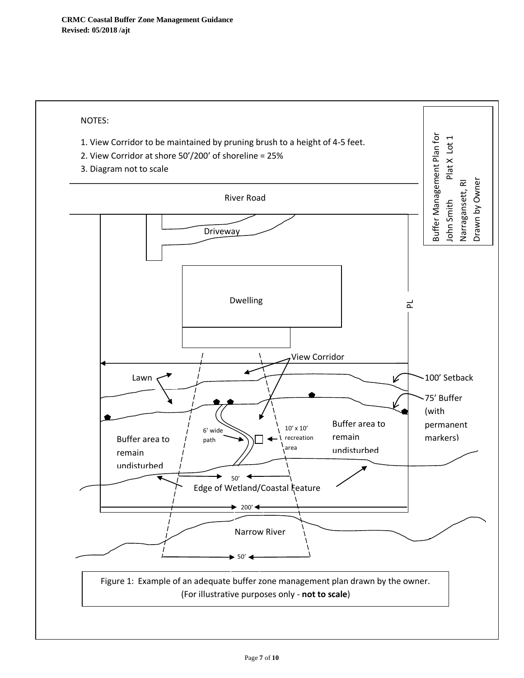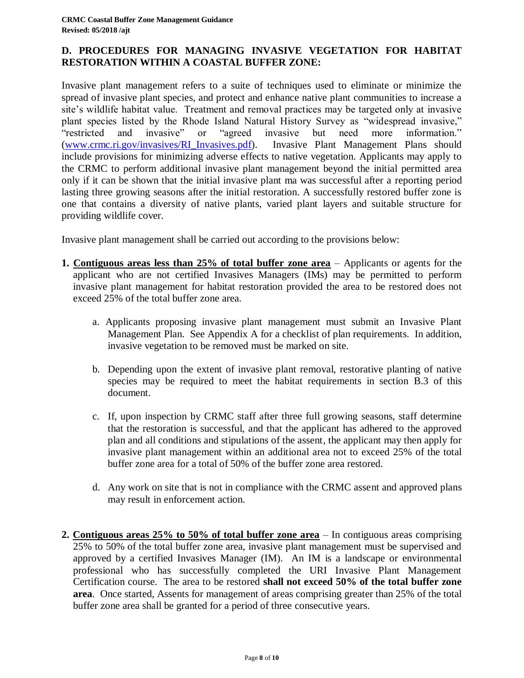### **D. PROCEDURES FOR MANAGING INVASIVE VEGETATION FOR HABITAT RESTORATION WITHIN A COASTAL BUFFER ZONE:**

Invasive plant management refers to a suite of techniques used to eliminate or minimize the spread of invasive plant species, and protect and enhance native plant communities to increase a site's wildlife habitat value. Treatment and removal practices may be targeted only at invasive plant species listed by the Rhode Island Natural History Survey as "widespread invasive," "restricted and invasive" or "agreed invasive but need more information." [\(www.crmc.ri.gov/invasives/RI\\_Invasives.pdf\)](http://www.crmc.ri.gov/invasives/RI_Invasives.pdf). Invasive Plant Management Plans should include provisions for minimizing adverse effects to native vegetation. Applicants may apply to the CRMC to perform additional invasive plant management beyond the initial permitted area only if it can be shown that the initial invasive plant ma was successful after a reporting period lasting three growing seasons after the initial restoration. A successfully restored buffer zone is one that contains a diversity of native plants, varied plant layers and suitable structure for providing wildlife cover.

Invasive plant management shall be carried out according to the provisions below:

- **1. Contiguous areas less than 25% of total buffer zone area**  Applicants or agents for the applicant who are not certified Invasives Managers (IMs) may be permitted to perform invasive plant management for habitat restoration provided the area to be restored does not exceed 25% of the total buffer zone area.
	- a. Applicants proposing invasive plant management must submit an Invasive Plant Management Plan. See Appendix A for a checklist of plan requirements. In addition, invasive vegetation to be removed must be marked on site.
	- b. Depending upon the extent of invasive plant removal, restorative planting of native species may be required to meet the habitat requirements in section B.3 of this document.
	- c. If, upon inspection by CRMC staff after three full growing seasons, staff determine that the restoration is successful, and that the applicant has adhered to the approved plan and all conditions and stipulations of the assent, the applicant may then apply for invasive plant management within an additional area not to exceed 25% of the total buffer zone area for a total of 50% of the buffer zone area restored.
	- d. Any work on site that is not in compliance with the CRMC assent and approved plans may result in enforcement action.
- **2. Contiguous areas 25% to 50% of total buffer zone area**  In contiguous areas comprising 25% to 50% of the total buffer zone area, invasive plant management must be supervised and approved by a certified Invasives Manager (IM). An IM is a landscape or environmental professional who has successfully completed the URI Invasive Plant Management Certification course. The area to be restored **shall not exceed 50% of the total buffer zone area**. Once started, Assents for management of areas comprising greater than 25% of the total buffer zone area shall be granted for a period of three consecutive years.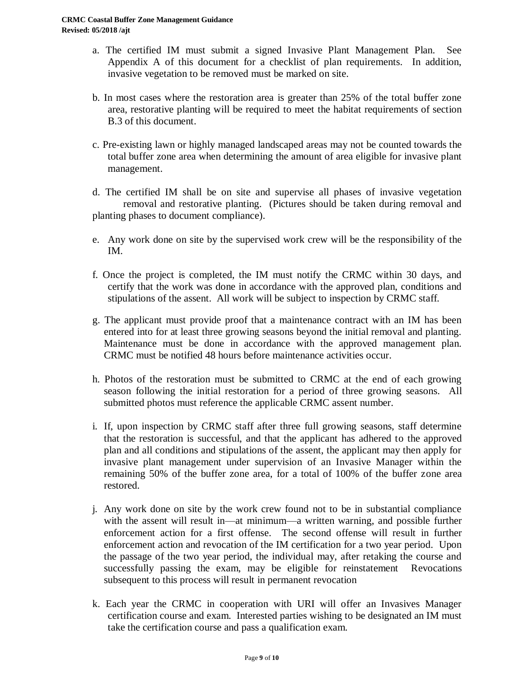- a. The certified IM must submit a signed Invasive Plant Management Plan. See Appendix A of this document for a checklist of plan requirements. In addition, invasive vegetation to be removed must be marked on site.
- b. In most cases where the restoration area is greater than 25% of the total buffer zone area, restorative planting will be required to meet the habitat requirements of section B.3 of this document.
- c. Pre-existing lawn or highly managed landscaped areas may not be counted towards the total buffer zone area when determining the amount of area eligible for invasive plant management.
- d. The certified IM shall be on site and supervise all phases of invasive vegetation removal and restorative planting. (Pictures should be taken during removal and planting phases to document compliance).
- e. Any work done on site by the supervised work crew will be the responsibility of the IM.
- f. Once the project is completed, the IM must notify the CRMC within 30 days, and certify that the work was done in accordance with the approved plan, conditions and stipulations of the assent. All work will be subject to inspection by CRMC staff.
- g. The applicant must provide proof that a maintenance contract with an IM has been entered into for at least three growing seasons beyond the initial removal and planting. Maintenance must be done in accordance with the approved management plan. CRMC must be notified 48 hours before maintenance activities occur.
- h. Photos of the restoration must be submitted to CRMC at the end of each growing season following the initial restoration for a period of three growing seasons. All submitted photos must reference the applicable CRMC assent number.
- i. If, upon inspection by CRMC staff after three full growing seasons, staff determine that the restoration is successful, and that the applicant has adhered to the approved plan and all conditions and stipulations of the assent, the applicant may then apply for invasive plant management under supervision of an Invasive Manager within the remaining 50% of the buffer zone area, for a total of 100% of the buffer zone area restored.
- j. Any work done on site by the work crew found not to be in substantial compliance with the assent will result in—at minimum—a written warning, and possible further enforcement action for a first offense. The second offense will result in further enforcement action and revocation of the IM certification for a two year period. Upon the passage of the two year period, the individual may, after retaking the course and successfully passing the exam, may be eligible for reinstatement Revocations subsequent to this process will result in permanent revocation
- k. Each year the CRMC in cooperation with URI will offer an Invasives Manager certification course and exam. Interested parties wishing to be designated an IM must take the certification course and pass a qualification exam.